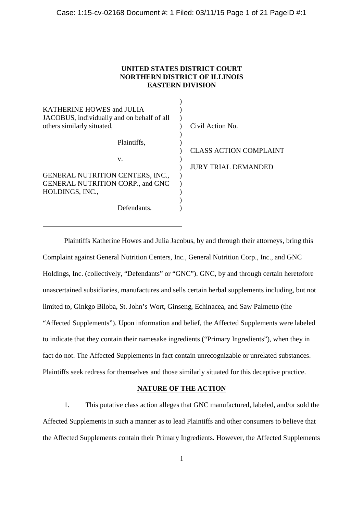### **UNITED STATES DISTRICT COURT NORTHERN DISTRICT OF ILLINOIS EASTERN DIVISION**

| <b>KATHERINE HOWES and JULIA</b>                                         |                               |
|--------------------------------------------------------------------------|-------------------------------|
| JACOBUS, individually and on behalf of all<br>others similarly situated, | Civil Action No.              |
| Plaintiffs,                                                              |                               |
|                                                                          | <b>CLASS ACTION COMPLAINT</b> |
| V.                                                                       |                               |
|                                                                          | <b>JURY TRIAL DEMANDED</b>    |
| <b>GENERAL NUTRITION CENTERS, INC.,</b>                                  |                               |
| <b>GENERAL NUTRITION CORP., and GNC</b>                                  |                               |
| HOLDINGS, INC.,                                                          |                               |
|                                                                          |                               |
| Defendants                                                               |                               |
|                                                                          |                               |

Plaintiffs Katherine Howes and Julia Jacobus, by and through their attorneys, bring this Complaint against General Nutrition Centers, Inc., General Nutrition Corp., Inc., and GNC Holdings, Inc. (collectively, "Defendants" or "GNC"). GNC, by and through certain heretofore unascertained subsidiaries, manufactures and sells certain herbal supplements including, but not limited to, Ginkgo Biloba, St. John's Wort, Ginseng, Echinacea, and Saw Palmetto (the "Affected Supplements"). Upon information and belief, the Affected Supplements were labeled to indicate that they contain their namesake ingredients ("Primary Ingredients"), when they in fact do not. The Affected Supplements in fact contain unrecognizable or unrelated substances. Plaintiffs seek redress for themselves and those similarly situated for this deceptive practice.

### **NATURE OF THE ACTION**

1. This putative class action alleges that GNC manufactured, labeled, and/or sold the Affected Supplements in such a manner as to lead Plaintiffs and other consumers to believe that the Affected Supplements contain their Primary Ingredients. However, the Affected Supplements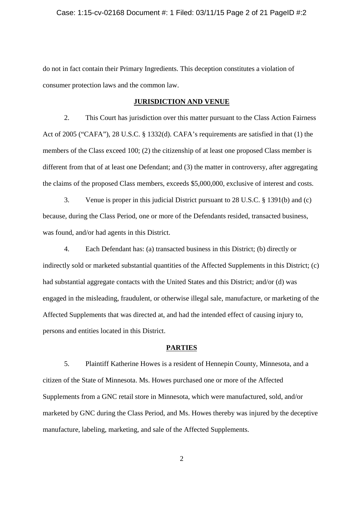#### Case: 1:15-cv-02168 Document #: 1 Filed: 03/11/15 Page 2 of 21 PageID #:2

do not in fact contain their Primary Ingredients. This deception constitutes a violation of consumer protection laws and the common law.

### **JURISDICTION AND VENUE**

2. This Court has jurisdiction over this matter pursuant to the Class Action Fairness Act of 2005 ("CAFA"), 28 U.S.C. § 1332(d). CAFA's requirements are satisfied in that (1) the members of the Class exceed 100; (2) the citizenship of at least one proposed Class member is different from that of at least one Defendant; and (3) the matter in controversy, after aggregating the claims of the proposed Class members, exceeds \$5,000,000, exclusive of interest and costs.

3. Venue is proper in this judicial District pursuant to 28 U.S.C. § 1391(b) and (c) because, during the Class Period, one or more of the Defendants resided, transacted business, was found, and/or had agents in this District.

4. Each Defendant has: (a) transacted business in this District; (b) directly or indirectly sold or marketed substantial quantities of the Affected Supplements in this District; (c) had substantial aggregate contacts with the United States and this District; and/or (d) was engaged in the misleading, fraudulent, or otherwise illegal sale, manufacture, or marketing of the Affected Supplements that was directed at, and had the intended effect of causing injury to, persons and entities located in this District.

#### **PARTIES**

5. Plaintiff Katherine Howes is a resident of Hennepin County, Minnesota, and a citizen of the State of Minnesota. Ms. Howes purchased one or more of the Affected Supplements from a GNC retail store in Minnesota, which were manufactured, sold, and/or marketed by GNC during the Class Period, and Ms. Howes thereby was injured by the deceptive manufacture, labeling, marketing, and sale of the Affected Supplements.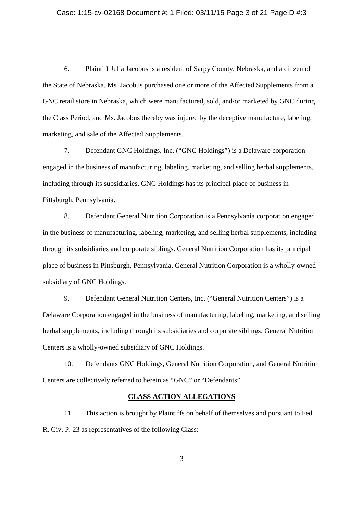#### Case: 1:15-cv-02168 Document #: 1 Filed: 03/11/15 Page 3 of 21 PageID #:3

6. Plaintiff Julia Jacobus is a resident of Sarpy County, Nebraska, and a citizen of the State of Nebraska. Ms. Jacobus purchased one or more of the Affected Supplements from a GNC retail store in Nebraska, which were manufactured, sold, and/or marketed by GNC during the Class Period, and Ms. Jacobus thereby was injured by the deceptive manufacture, labeling, marketing, and sale of the Affected Supplements.

7. Defendant GNC Holdings, Inc. ("GNC Holdings") is a Delaware corporation engaged in the business of manufacturing, labeling, marketing, and selling herbal supplements, including through its subsidiaries. GNC Holdings has its principal place of business in Pittsburgh, Pennsylvania.

8. Defendant General Nutrition Corporation is a Pennsylvania corporation engaged in the business of manufacturing, labeling, marketing, and selling herbal supplements, including through its subsidiaries and corporate siblings. General Nutrition Corporation has its principal place of business in Pittsburgh, Pennsylvania. General Nutrition Corporation is a wholly-owned subsidiary of GNC Holdings.

9. Defendant General Nutrition Centers, Inc. ("General Nutrition Centers") is a Delaware Corporation engaged in the business of manufacturing, labeling, marketing, and selling herbal supplements, including through its subsidiaries and corporate siblings. General Nutrition Centers is a wholly-owned subsidiary of GNC Holdings.

10. Defendants GNC Holdings, General Nutrition Corporation, and General Nutrition Centers are collectively referred to herein as "GNC" or "Defendants".

# **CLASS ACTION ALLEGATIONS**

11. This action is brought by Plaintiffs on behalf of themselves and pursuant to Fed. R. Civ. P. 23 as representatives of the following Class: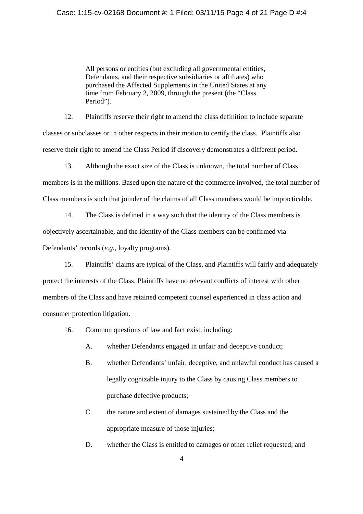#### Case: 1:15-cv-02168 Document #: 1 Filed: 03/11/15 Page 4 of 21 PageID #:4

All persons or entities (but excluding all governmental entities, Defendants, and their respective subsidiaries or affiliates) who purchased the Affected Supplements in the United States at any time from February 2, 2009, through the present (the "Class Period").

12. Plaintiffs reserve their right to amend the class definition to include separate classes or subclasses or in other respects in their motion to certify the class. Plaintiffs also reserve their right to amend the Class Period if discovery demonstrates a different period.

13. Although the exact size of the Class is unknown, the total number of Class members is in the millions. Based upon the nature of the commerce involved, the total number of Class members is such that joinder of the claims of all Class members would be impracticable.

14. The Class is defined in a way such that the identity of the Class members is objectively ascertainable, and the identity of the Class members can be confirmed via Defendants' records (*e.g.*, loyalty programs).

15. Plaintiffs' claims are typical of the Class, and Plaintiffs will fairly and adequately protect the interests of the Class. Plaintiffs have no relevant conflicts of interest with other members of the Class and have retained competent counsel experienced in class action and consumer protection litigation.

- 16. Common questions of law and fact exist, including:
	- A. whether Defendants engaged in unfair and deceptive conduct;
	- B. whether Defendants' unfair, deceptive, and unlawful conduct has caused a legally cognizable injury to the Class by causing Class members to purchase defective products;
	- C. the nature and extent of damages sustained by the Class and the appropriate measure of those injuries;
	- D. whether the Class is entitled to damages or other relief requested; and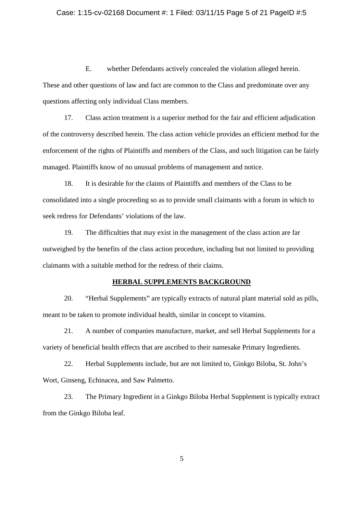#### Case: 1:15-cv-02168 Document #: 1 Filed: 03/11/15 Page 5 of 21 PageID #:5

E. whether Defendants actively concealed the violation alleged herein. These and other questions of law and fact are common to the Class and predominate over any questions affecting only individual Class members.

17. Class action treatment is a superior method for the fair and efficient adjudication of the controversy described herein. The class action vehicle provides an efficient method for the enforcement of the rights of Plaintiffs and members of the Class, and such litigation can be fairly managed. Plaintiffs know of no unusual problems of management and notice.

18. It is desirable for the claims of Plaintiffs and members of the Class to be consolidated into a single proceeding so as to provide small claimants with a forum in which to seek redress for Defendants' violations of the law.

19. The difficulties that may exist in the management of the class action are far outweighed by the benefits of the class action procedure, including but not limited to providing claimants with a suitable method for the redress of their claims.

#### **HERBAL SUPPLEMENTS BACKGROUND**

20. "Herbal Supplements" are typically extracts of natural plant material sold as pills, meant to be taken to promote individual health, similar in concept to vitamins.

21. A number of companies manufacture, market, and sell Herbal Supplements for a variety of beneficial health effects that are ascribed to their namesake Primary Ingredients.

22. Herbal Supplements include, but are not limited to, Ginkgo Biloba, St. John's Wort, Ginseng, Echinacea, and Saw Palmetto.

23. The Primary Ingredient in a Ginkgo Biloba Herbal Supplement is typically extract from the Ginkgo Biloba leaf.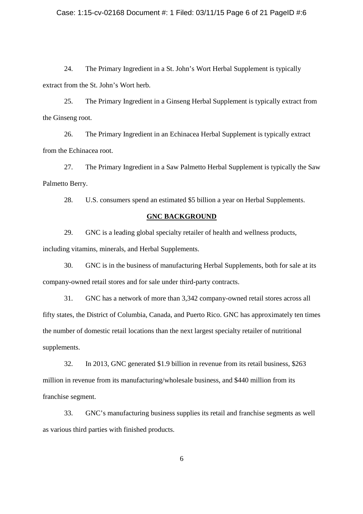### Case: 1:15-cv-02168 Document #: 1 Filed: 03/11/15 Page 6 of 21 PageID #:6

24. The Primary Ingredient in a St. John's Wort Herbal Supplement is typically extract from the St. John's Wort herb.

25. The Primary Ingredient in a Ginseng Herbal Supplement is typically extract from the Ginseng root.

26. The Primary Ingredient in an Echinacea Herbal Supplement is typically extract from the Echinacea root.

27. The Primary Ingredient in a Saw Palmetto Herbal Supplement is typically the Saw Palmetto Berry.

28. U.S. consumers spend an estimated \$5 billion a year on Herbal Supplements.

### **GNC BACKGROUND**

29. GNC is a leading global specialty retailer of health and wellness products, including vitamins, minerals, and Herbal Supplements.

30. GNC is in the business of manufacturing Herbal Supplements, both for sale at its company-owned retail stores and for sale under third-party contracts.

31. GNC has a network of more than 3,342 company-owned retail stores across all fifty states, the District of Columbia, Canada, and Puerto Rico. GNC has approximately ten times the number of domestic retail locations than the next largest specialty retailer of nutritional supplements.

32. In 2013, GNC generated \$1.9 billion in revenue from its retail business, \$263 million in revenue from its manufacturing/wholesale business, and \$440 million from its franchise segment.

33. GNC's manufacturing business supplies its retail and franchise segments as well as various third parties with finished products.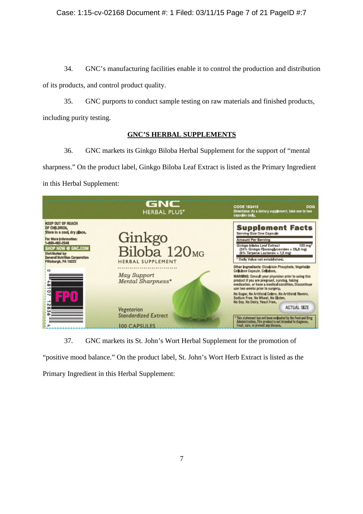# Case: 1:15-cv-02168 Document #: 1 Filed: 03/11/15 Page 7 of 21 PageID #:7

34. GNC's manufacturing facilities enable it to control the production and distribution

of its products, and control product quality.

35. GNC purports to conduct sample testing on raw materials and finished products,

including purity testing.

# **GNC'S HERBAL SUPPLEMENTS**

36. GNC markets its Ginkgo Biloba Herbal Supplement for the support of "mental sharpness." On the product label, Ginkgo Biloba Leaf Extract is listed as the Primary Ingredient in this Herbal Supplement:

|                                                                                                                                                                                                                                         | GNC<br><b>HERBAL PLUS*</b>                                                                                | <b>CODE 183412</b><br><b>DOG</b><br>Directions: As a dietary supplement, take one to two<br>cansules dally.                                                                                                                                                                                                                                                                                                                                                                                               |
|-----------------------------------------------------------------------------------------------------------------------------------------------------------------------------------------------------------------------------------------|-----------------------------------------------------------------------------------------------------------|-----------------------------------------------------------------------------------------------------------------------------------------------------------------------------------------------------------------------------------------------------------------------------------------------------------------------------------------------------------------------------------------------------------------------------------------------------------------------------------------------------------|
| <b>KEEP OUT OF REACH</b><br>OF CHILDREN.<br>Store in a cool dry place,<br>For More Information:<br>1-888-462-2548<br>SHOP NOW @ GNC.COM<br><b>Distributed by:</b><br><b>General Nutrition Corporation</b><br>Pittsburgh, PA 15222<br>ō٥ | Ginkgo<br>Biloba 120 <sub>MG</sub><br><b>HERBAL SUPPLEMENT</b><br><b>May Support</b><br>Mental Sharpness* | <b>Supplement Facts</b><br>Serving Size One Capsule<br><b>Amount Per Serving</b><br>Ginkgo biloba Leaf Extract<br>120 mg <sup>*</sup><br>(24% Ginkgo Flavonglycosides = 28.8 mg)<br>(6% Terpene Lactones = 7.2 mg)<br>* Daily Value not established.<br>Other Ingredients: Dicalcium Phosphate, Vegetable<br>Cellulese Capsule, Cellulese,<br>WARNING: Consult your physician prior to using this<br>product if you are pregnant, nursing, taking<br>medication, or have a medical condition. Discontinue |
| 5                                                                                                                                                                                                                                       | Vegetarian<br><b>Standardized Extract</b><br><b>IOO CAPSULES</b>                                          | use two weeks prior to surgery,<br>Ne Sugar, No Artificial Colors, Ne Artificial Flavers,<br>Sodium Free, No Wheat, No Gluten,<br>Ne Soy, Ne Dairy, Yeast Free.<br><b>ACTUAL SIZE</b><br>This statement has not been evaluated by the Ford and Drug<br>Administration, This product is not intended to diagnose,<br>treat, cure, or prevent any disease.                                                                                                                                                  |

37. GNC markets its St. John's Wort Herbal Supplement for the promotion of

"positive mood balance." On the product label, St. John's Wort Herb Extract is listed as the Primary Ingredient in this Herbal Supplement: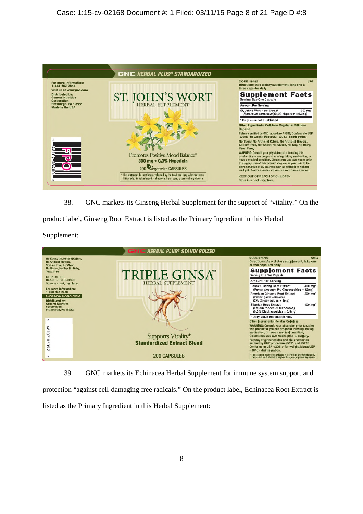

38. GNC markets its Ginseng Herbal Supplement for the support of "vitality." On the

product label, Ginseng Root Extract is listed as the Primary Ingredient in this Herbal

Supplement:



39. GNC markets its Echinacea Herbal Supplement for immune system support and

protection "against cell-damaging free radicals." On the product label, Echinacea Root Extract is listed as the Primary Ingredient in this Herbal Supplement: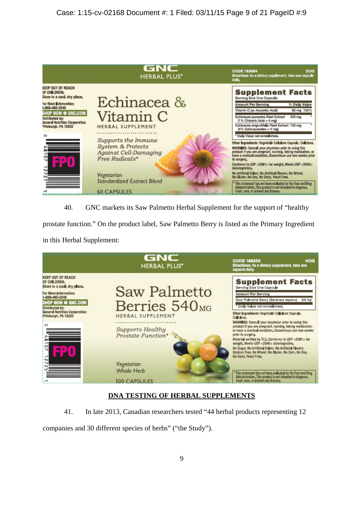

40. GNC markets its Saw Palmetto Herbal Supplement for the support of "healthy

prostate function." On the product label, Saw Palmetto Berry is listed as the Primary Ingredient

in this Herbal Supplement:



# **DNA TESTING OF HERBAL SUPPLEMENTS**

41. In late 2013, Canadian researchers tested "44 herbal products representing 12

companies and 30 different species of herbs" ("the Study").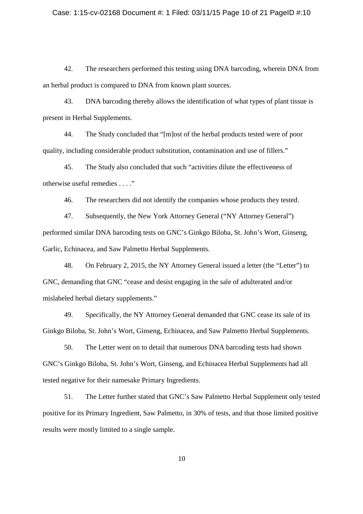#### Case: 1:15-cv-02168 Document #: 1 Filed: 03/11/15 Page 10 of 21 PageID #:10

42. The researchers performed this testing using DNA barcoding, wherein DNA from an herbal product is compared to DNA from known plant sources.

43. DNA barcoding thereby allows the identification of what types of plant tissue is present in Herbal Supplements.

44. The Study concluded that "[m]ost of the herbal products tested were of poor quality, including considerable product substitution, contamination and use of fillers."

45. The Study also concluded that such "activities dilute the effectiveness of otherwise useful remedies . . . ."

46. The researchers did not identify the companies whose products they tested.

47. Subsequently, the New York Attorney General ("NY Attorney General") performed similar DNA barcoding tests on GNC's Ginkgo Biloba, St. John's Wort, Ginseng, Garlic, Echinacea, and Saw Palmetto Herbal Supplements.

48. On February 2, 2015, the NY Attorney General issued a letter (the "Letter") to GNC, demanding that GNC "cease and desist engaging in the sale of adulterated and/or mislabeled herbal dietary supplements."

49. Specifically, the NY Attorney General demanded that GNC cease its sale of its Ginkgo Biloba, St. John's Wort, Ginseng, Echinacea, and Saw Palmetto Herbal Supplements.

50. The Letter went on to detail that numerous DNA barcoding tests had shown GNC's Ginkgo Biloba, St. John's Wort, Ginseng, and Echinacea Herbal Supplements had all tested negative for their namesake Primary Ingredients.

51. The Letter further stated that GNC's Saw Palmetto Herbal Supplement only tested positive for its Primary Ingredient, Saw Palmetto, in 30% of tests, and that those limited positive results were mostly limited to a single sample.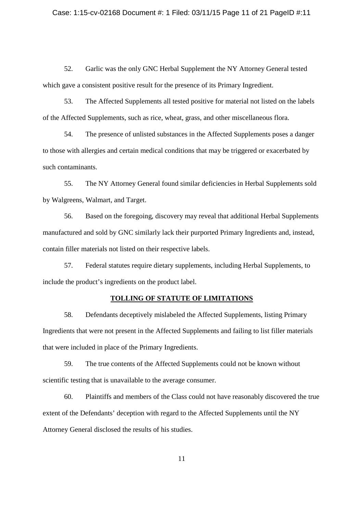#### Case: 1:15-cv-02168 Document #: 1 Filed: 03/11/15 Page 11 of 21 PageID #:11

52. Garlic was the only GNC Herbal Supplement the NY Attorney General tested which gave a consistent positive result for the presence of its Primary Ingredient.

53. The Affected Supplements all tested positive for material not listed on the labels of the Affected Supplements, such as rice, wheat, grass, and other miscellaneous flora.

54. The presence of unlisted substances in the Affected Supplements poses a danger to those with allergies and certain medical conditions that may be triggered or exacerbated by such contaminants.

55. The NY Attorney General found similar deficiencies in Herbal Supplements sold by Walgreens, Walmart, and Target.

56. Based on the foregoing, discovery may reveal that additional Herbal Supplements manufactured and sold by GNC similarly lack their purported Primary Ingredients and, instead, contain filler materials not listed on their respective labels.

57. Federal statutes require dietary supplements, including Herbal Supplements, to include the product's ingredients on the product label.

#### **TOLLING OF STATUTE OF LIMITATIONS**

58. Defendants deceptively mislabeled the Affected Supplements, listing Primary Ingredients that were not present in the Affected Supplements and failing to list filler materials that were included in place of the Primary Ingredients.

59. The true contents of the Affected Supplements could not be known without scientific testing that is unavailable to the average consumer.

60. Plaintiffs and members of the Class could not have reasonably discovered the true extent of the Defendants' deception with regard to the Affected Supplements until the NY Attorney General disclosed the results of his studies.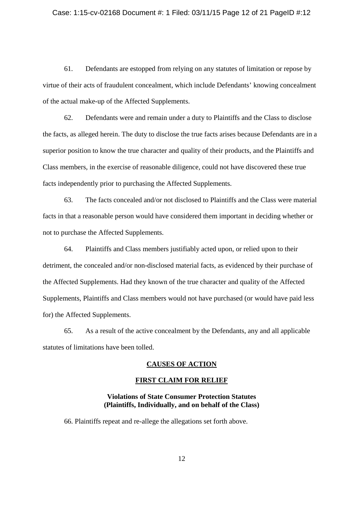#### Case: 1:15-cv-02168 Document #: 1 Filed: 03/11/15 Page 12 of 21 PageID #:12

61. Defendants are estopped from relying on any statutes of limitation or repose by virtue of their acts of fraudulent concealment, which include Defendants' knowing concealment of the actual make-up of the Affected Supplements.

62. Defendants were and remain under a duty to Plaintiffs and the Class to disclose the facts, as alleged herein. The duty to disclose the true facts arises because Defendants are in a superior position to know the true character and quality of their products, and the Plaintiffs and Class members, in the exercise of reasonable diligence, could not have discovered these true facts independently prior to purchasing the Affected Supplements.

63. The facts concealed and/or not disclosed to Plaintiffs and the Class were material facts in that a reasonable person would have considered them important in deciding whether or not to purchase the Affected Supplements.

64. Plaintiffs and Class members justifiably acted upon, or relied upon to their detriment, the concealed and/or non-disclosed material facts, as evidenced by their purchase of the Affected Supplements. Had they known of the true character and quality of the Affected Supplements, Plaintiffs and Class members would not have purchased (or would have paid less for) the Affected Supplements.

65. As a result of the active concealment by the Defendants, any and all applicable statutes of limitations have been tolled.

### **CAUSES OF ACTION**

### **FIRST CLAIM FOR RELIEF**

### **Violations of State Consumer Protection Statutes (Plaintiffs, Individually, and on behalf of the Class)**

66. Plaintiffs repeat and re-allege the allegations set forth above.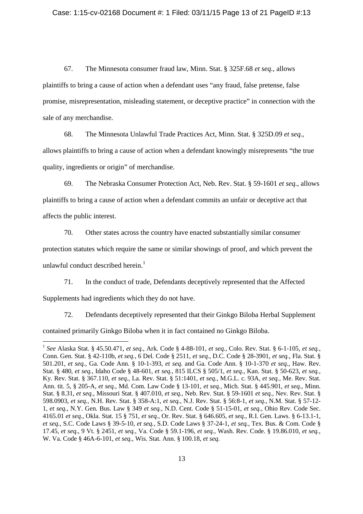#### Case: 1:15-cv-02168 Document #: 1 Filed: 03/11/15 Page 13 of 21 PageID #:13

67. The Minnesota consumer fraud law, Minn. Stat. § 325F.68 *et seq.*, allows plaintiffs to bring a cause of action when a defendant uses "any fraud, false pretense, false promise, misrepresentation, misleading statement, or deceptive practice" in connection with the sale of any merchandise.

68. The Minnesota Unlawful Trade Practices Act, Minn. Stat. § 325D.09 *et seq.*, allows plaintiffs to bring a cause of action when a defendant knowingly misrepresents "the true quality, ingredients or origin" of merchandise.

69. The Nebraska Consumer Protection Act, Neb. Rev. Stat. § 59-1601 *et seq.*, allows plaintiffs to bring a cause of action when a defendant commits an unfair or deceptive act that affects the public interest.

70. Other states across the country have enacted substantially similar consumer protection statutes which require the same or similar showings of proof, and which prevent the unlawful conduct described herein. $<sup>1</sup>$ </sup>

71. In the conduct of trade, Defendants deceptively represented that the Affected Supplements had ingredients which they do not have.

72. Defendants deceptively represented that their Ginkgo Biloba Herbal Supplement

contained primarily Ginkgo Biloba when it in fact contained no Ginkgo Biloba.

<sup>1</sup> *See* Alaska Stat. § 45.50.471, *et seq*., Ark. Code § 4-88-101, *et seq.*, Colo. Rev. Stat. § 6-1-105, *et seq.*, Conn. Gen. Stat. § 42-110b, *et seq.*, 6 Del. Code § 2511, *et seq*., D.C. Code § 28-3901, *et seq.*, Fla. Stat. § 501.201, *et seq.*, Ga. Code Ann. § 10-1-393, *et seq*. and Ga. Code Ann. § 10-1-370 *et seq.*, Haw. Rev. Stat. § 480, *et seq.*, Idaho Code § 48-601, *et seq.*, 815 ILCS § 505/1, *et seq.*, Kan. Stat. § 50-623, *et seq.*, Ky. Rev. Stat. § 367.110, *et seq.*, La. Rev. Stat. § 51:1401, *et seq.*, M.G.L. c. 93A, *et seq.*, Me. Rev. Stat. Ann. tit. 5, § 205-A, *et seq.*, Md. Com. Law Code § 13-101, *et seq.*, Mich. Stat. § 445.901, *et seq.*, Minn. Stat. § 8.31, *et seq.*, Missouri Stat. § 407.010, *et seq.*, Neb. Rev. Stat. § 59-1601 *et seq.*, Nev. Rev. Stat. § 598.0903, *et seq.*, N.H. Rev. Stat. § 358-A:1, *et seq.*, N.J. Rev. Stat. § 56:8-1, *et seq.*, N.M. Stat. § 57-12- 1, *et seq.*, N.Y. Gen. Bus. Law § 349 *et seq.*, N.D. Cent. Code § 51-15-01, *et seq.*, Ohio Rev. Code Sec. 4165.01 *et seq.*, Okla. Stat. 15 § 751, *et seq.*, Or. Rev. Stat. § 646.605, *et seq*., R.I. Gen. Laws. § 6-13.1-1, *et seq.*, S.C. Code Laws § 39-5-10, *et seq.*, S.D. Code Laws § 37-24-1, *et seq.*, Tex. Bus. & Com. Code § 17.45, *et seq*., 9 Vt. § 2451, *et seq.*, Va. Code § 59.1-196, *et seq.*, Wash. Rev. Code. § 19.86.010, *et seq.*, W. Va. Code § 46A-6-101, *et seq*., Wis. Stat. Ann. § 100.18, *et seq*.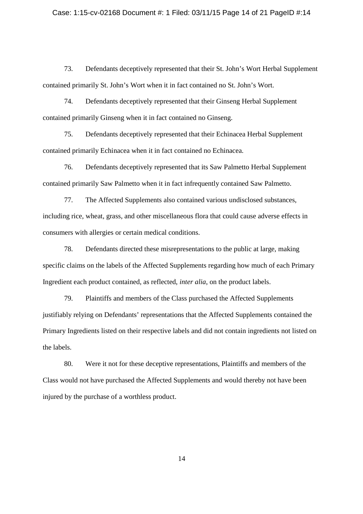### Case: 1:15-cv-02168 Document #: 1 Filed: 03/11/15 Page 14 of 21 PageID #:14

73. Defendants deceptively represented that their St. John's Wort Herbal Supplement contained primarily St. John's Wort when it in fact contained no St. John's Wort.

74. Defendants deceptively represented that their Ginseng Herbal Supplement contained primarily Ginseng when it in fact contained no Ginseng.

75. Defendants deceptively represented that their Echinacea Herbal Supplement contained primarily Echinacea when it in fact contained no Echinacea.

76. Defendants deceptively represented that its Saw Palmetto Herbal Supplement contained primarily Saw Palmetto when it in fact infrequently contained Saw Palmetto.

77. The Affected Supplements also contained various undisclosed substances, including rice, wheat, grass, and other miscellaneous flora that could cause adverse effects in consumers with allergies or certain medical conditions.

78. Defendants directed these misrepresentations to the public at large, making specific claims on the labels of the Affected Supplements regarding how much of each Primary Ingredient each product contained, as reflected, *inter alia*, on the product labels.

79. Plaintiffs and members of the Class purchased the Affected Supplements justifiably relying on Defendants' representations that the Affected Supplements contained the Primary Ingredients listed on their respective labels and did not contain ingredients not listed on the labels.

80. Were it not for these deceptive representations, Plaintiffs and members of the Class would not have purchased the Affected Supplements and would thereby not have been injured by the purchase of a worthless product.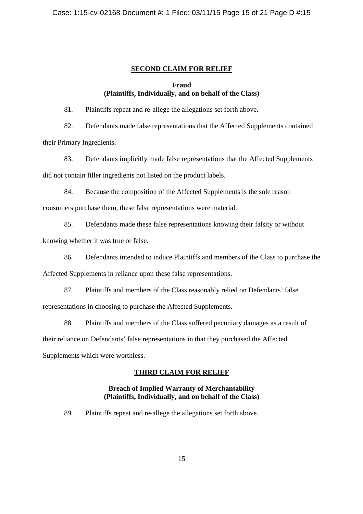# **SECOND CLAIM FOR RELIEF**

# **Fraud (Plaintiffs, Individually, and on behalf of the Class)**

81. Plaintiffs repeat and re-allege the allegations set forth above.

82. Defendants made false representations that the Affected Supplements contained their Primary Ingredients.

83. Defendants implicitly made false representations that the Affected Supplements did not contain filler ingredients not listed on the product labels.

84. Because the composition of the Affected Supplements is the sole reason

consumers purchase them, these false representations were material.

85. Defendants made these false representations knowing their falsity or without knowing whether it was true or false.

86. Defendants intended to induce Plaintiffs and members of the Class to purchase the

Affected Supplements in reliance upon these false representations.

87. Plaintiffs and members of the Class reasonably relied on Defendants' false representations in choosing to purchase the Affected Supplements.

88. Plaintiffs and members of the Class suffered pecuniary damages as a result of their reliance on Defendants' false representations in that they purchased the Affected Supplements which were worthless.

# **THIRD CLAIM FOR RELIEF**

# **Breach of Implied Warranty of Merchantability (Plaintiffs, Individually, and on behalf of the Class)**

89. Plaintiffs repeat and re-allege the allegations set forth above.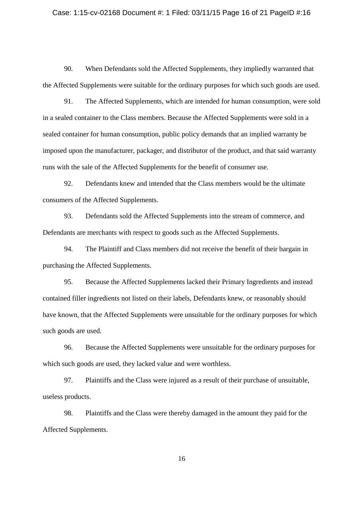#### Case: 1:15-cv-02168 Document #: 1 Filed: 03/11/15 Page 16 of 21 PageID #:16

90. When Defendants sold the Affected Supplements, they impliedly warranted that the Affected Supplements were suitable for the ordinary purposes for which such goods are used.

91. The Affected Supplements, which are intended for human consumption, were sold in a sealed container to the Class members. Because the Affected Supplements were sold in a sealed container for human consumption, public policy demands that an implied warranty be imposed upon the manufacturer, packager, and distributor of the product, and that said warranty runs with the sale of the Affected Supplements for the benefit of consumer use.

92. Defendants knew and intended that the Class members would be the ultimate consumers of the Affected Supplements.

93. Defendants sold the Affected Supplements into the stream of commerce, and Defendants are merchants with respect to goods such as the Affected Supplements.

94. The Plaintiff and Class members did not receive the benefit of their bargain in purchasing the Affected Supplements.

95. Because the Affected Supplements lacked their Primary Ingredients and instead contained filler ingredients not listed on their labels, Defendants knew, or reasonably should have known, that the Affected Supplements were unsuitable for the ordinary purposes for which such goods are used.

96. Because the Affected Supplements were unsuitable for the ordinary purposes for which such goods are used, they lacked value and were worthless.

97. Plaintiffs and the Class were injured as a result of their purchase of unsuitable, useless products.

98. Plaintiffs and the Class were thereby damaged in the amount they paid for the Affected Supplements.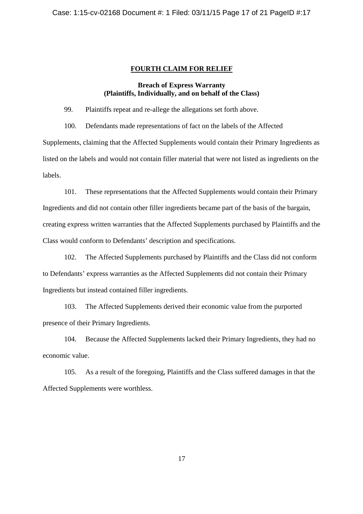### **FOURTH CLAIM FOR RELIEF**

# **Breach of Express Warranty (Plaintiffs, Individually, and on behalf of the Class)**

99. Plaintiffs repeat and re-allege the allegations set forth above.

100. Defendants made representations of fact on the labels of the Affected

Supplements, claiming that the Affected Supplements would contain their Primary Ingredients as listed on the labels and would not contain filler material that were not listed as ingredients on the labels.

101. These representations that the Affected Supplements would contain their Primary Ingredients and did not contain other filler ingredients became part of the basis of the bargain, creating express written warranties that the Affected Supplements purchased by Plaintiffs and the Class would conform to Defendants' description and specifications.

102. The Affected Supplements purchased by Plaintiffs and the Class did not conform to Defendants' express warranties as the Affected Supplements did not contain their Primary Ingredients but instead contained filler ingredients.

103. The Affected Supplements derived their economic value from the purported presence of their Primary Ingredients.

104. Because the Affected Supplements lacked their Primary Ingredients, they had no economic value.

105. As a result of the foregoing, Plaintiffs and the Class suffered damages in that the Affected Supplements were worthless.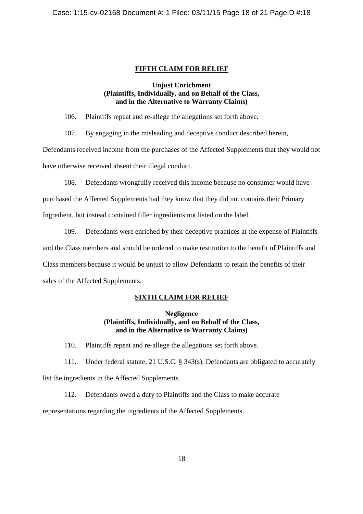# **FIFTH CLAIM FOR RELIEF**

### **Unjust Enrichment (Plaintiffs, Individually, and on Behalf of the Class, and in the Alternative to Warranty Claims)**

106. Plaintiffs repeat and re-allege the allegations set forth above.

107. By engaging in the misleading and deceptive conduct described herein,

Defendants received income from the purchases of the Affected Supplements that they would not have otherwise received absent their illegal conduct.

108. Defendants wrongfully received this income because no consumer would have

purchased the Affected Supplements had they know that they did not contains their Primary

Ingredient, but instead contained filler ingredients not listed on the label.

109. Defendants were enriched by their deceptive practices at the expense of Plaintiffs

and the Class members and should be ordered to make restitution to the benefit of Plaintiffs and

Class members because it would be unjust to allow Defendants to retain the benefits of their

sales of the Affected Supplements.

# **SIXTH CLAIM FOR RELIEF**

### **Negligence (Plaintiffs, Individually, and on Behalf of the Class, and in the Alternative to Warranty Claims)**

110. Plaintiffs repeat and re-allege the allegations set forth above.

111. Under federal statute, 21 U.S.C. § 343(s), Defendants are obligated to accurately

list the ingredients in the Affected Supplements.

112. Defendants owed a duty to Plaintiffs and the Class to make accurate

representations regarding the ingredients of the Affected Supplements.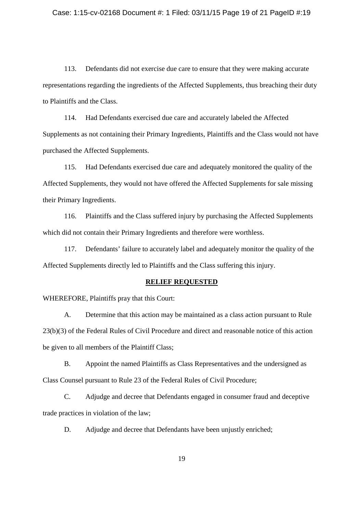#### Case: 1:15-cv-02168 Document #: 1 Filed: 03/11/15 Page 19 of 21 PageID #:19

113. Defendants did not exercise due care to ensure that they were making accurate representations regarding the ingredients of the Affected Supplements, thus breaching their duty to Plaintiffs and the Class.

114. Had Defendants exercised due care and accurately labeled the Affected Supplements as not containing their Primary Ingredients, Plaintiffs and the Class would not have purchased the Affected Supplements.

115. Had Defendants exercised due care and adequately monitored the quality of the Affected Supplements, they would not have offered the Affected Supplements for sale missing their Primary Ingredients.

116. Plaintiffs and the Class suffered injury by purchasing the Affected Supplements which did not contain their Primary Ingredients and therefore were worthless.

117. Defendants' failure to accurately label and adequately monitor the quality of the Affected Supplements directly led to Plaintiffs and the Class suffering this injury.

### **RELIEF REQUESTED**

WHEREFORE, Plaintiffs pray that this Court:

A. Determine that this action may be maintained as a class action pursuant to Rule 23(b)(3) of the Federal Rules of Civil Procedure and direct and reasonable notice of this action be given to all members of the Plaintiff Class;

B. Appoint the named Plaintiffs as Class Representatives and the undersigned as Class Counsel pursuant to Rule 23 of the Federal Rules of Civil Procedure;

C. Adjudge and decree that Defendants engaged in consumer fraud and deceptive trade practices in violation of the law;

D. Adjudge and decree that Defendants have been unjustly enriched;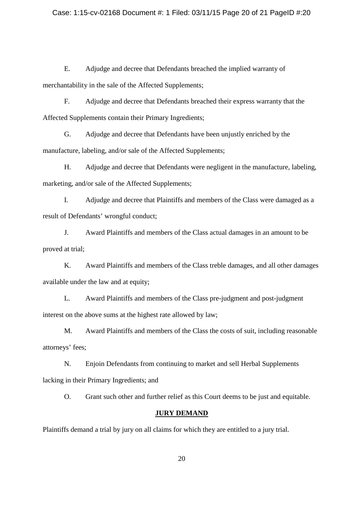### Case: 1:15-cv-02168 Document #: 1 Filed: 03/11/15 Page 20 of 21 PageID #:20

E. Adjudge and decree that Defendants breached the implied warranty of merchantability in the sale of the Affected Supplements;

F. Adjudge and decree that Defendants breached their express warranty that the Affected Supplements contain their Primary Ingredients;

G. Adjudge and decree that Defendants have been unjustly enriched by the manufacture, labeling, and/or sale of the Affected Supplements;

H. Adjudge and decree that Defendants were negligent in the manufacture, labeling, marketing, and/or sale of the Affected Supplements;

I. Adjudge and decree that Plaintiffs and members of the Class were damaged as a result of Defendants' wrongful conduct;

J. Award Plaintiffs and members of the Class actual damages in an amount to be proved at trial;

K. Award Plaintiffs and members of the Class treble damages, and all other damages available under the law and at equity;

L. Award Plaintiffs and members of the Class pre-judgment and post-judgment interest on the above sums at the highest rate allowed by law;

M. Award Plaintiffs and members of the Class the costs of suit, including reasonable attorneys' fees;

N. Enjoin Defendants from continuing to market and sell Herbal Supplements lacking in their Primary Ingredients; and

O. Grant such other and further relief as this Court deems to be just and equitable.

# **JURY DEMAND**

Plaintiffs demand a trial by jury on all claims for which they are entitled to a jury trial.